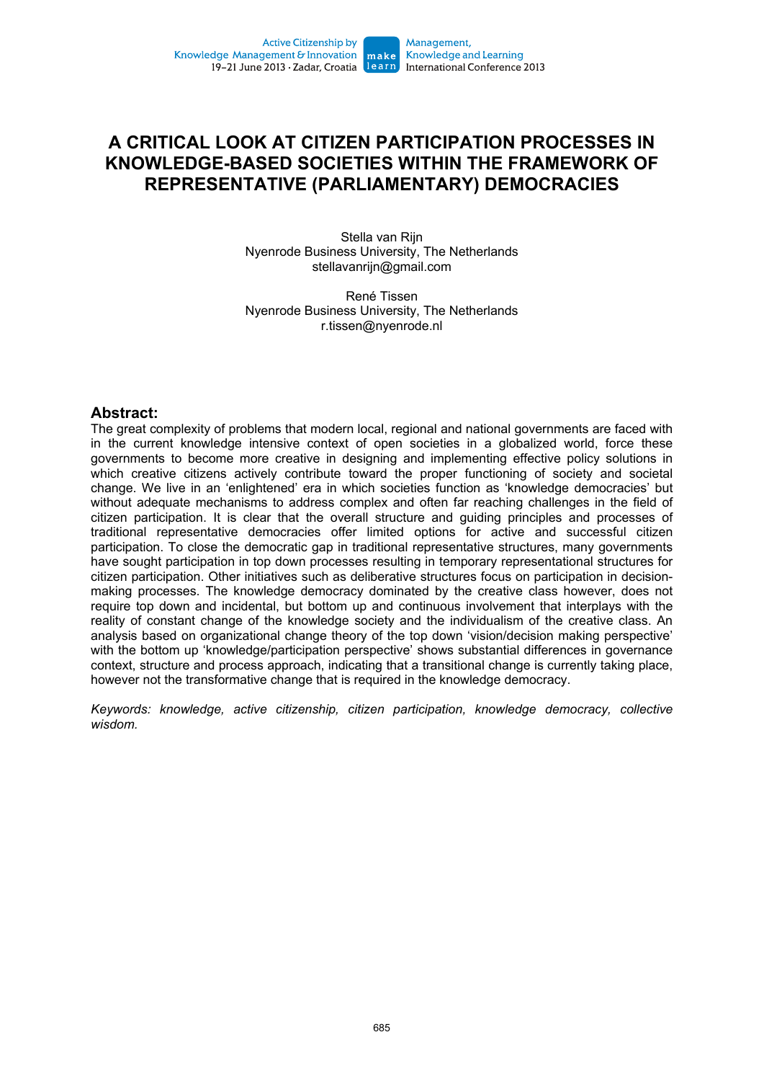# **A CRITICAL LOOK AT CITIZEN PARTICIPATION PROCESSES IN KNOWLEDGE-BASED SOCIETIES WITHIN THE FRAMEWORK OF REPRESENTATIVE (PARLIAMENTARY) DEMOCRACIES**

Stella van Rijn Nyenrode Business University, The Netherlands stellavanrijn@gmail.com

René Tissen Nyenrode Business University, The Netherlands r.tissen@nyenrode.nl

#### **Abstract:**

The great complexity of problems that modern local, regional and national governments are faced with in the current knowledge intensive context of open societies in a globalized world, force these governments to become more creative in designing and implementing effective policy solutions in which creative citizens actively contribute toward the proper functioning of society and societal change. We live in an 'enlightened' era in which societies function as 'knowledge democracies' but without adequate mechanisms to address complex and often far reaching challenges in the field of citizen participation. It is clear that the overall structure and guiding principles and processes of traditional representative democracies offer limited options for active and successful citizen participation. To close the democratic gap in traditional representative structures, many governments have sought participation in top down processes resulting in temporary representational structures for citizen participation. Other initiatives such as deliberative structures focus on participation in decisionmaking processes. The knowledge democracy dominated by the creative class however, does not require top down and incidental, but bottom up and continuous involvement that interplays with the reality of constant change of the knowledge society and the individualism of the creative class. An analysis based on organizational change theory of the top down 'vision/decision making perspective' with the bottom up 'knowledge/participation perspective' shows substantial differences in governance context, structure and process approach, indicating that a transitional change is currently taking place, however not the transformative change that is required in the knowledge democracy.

*Keywords: knowledge, active citizenship, citizen participation, knowledge democracy, collective wisdom.*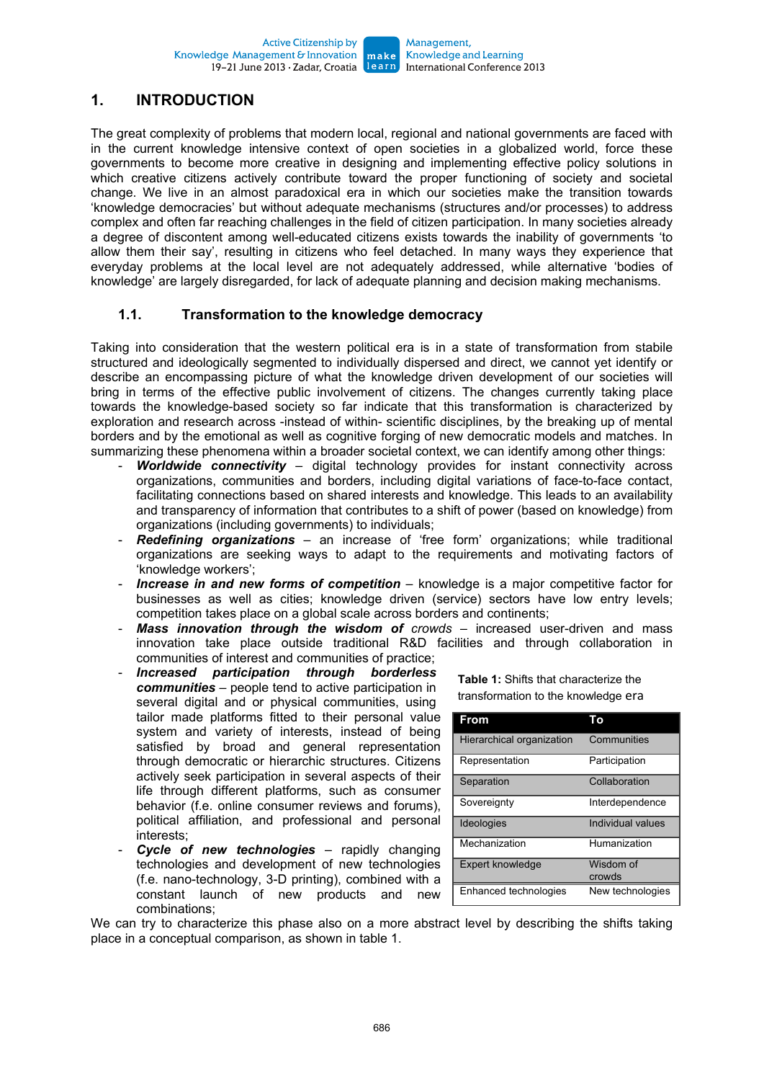## **1. INTRODUCTION**

The great complexity of problems that modern local, regional and national governments are faced with in the current knowledge intensive context of open societies in a globalized world, force these governments to become more creative in designing and implementing effective policy solutions in which creative citizens actively contribute toward the proper functioning of society and societal change. We live in an almost paradoxical era in which our societies make the transition towards 'knowledge democracies' but without adequate mechanisms (structures and/or processes) to address complex and often far reaching challenges in the field of citizen participation. In many societies already a degree of discontent among well-educated citizens exists towards the inability of governments 'to allow them their say', resulting in citizens who feel detached. In many ways they experience that everyday problems at the local level are not adequately addressed, while alternative 'bodies of knowledge' are largely disregarded, for lack of adequate planning and decision making mechanisms.

#### **1.1. Transformation to the knowledge democracy**

Taking into consideration that the western political era is in a state of transformation from stabile structured and ideologically segmented to individually dispersed and direct, we cannot yet identify or describe an encompassing picture of what the knowledge driven development of our societies will bring in terms of the effective public involvement of citizens. The changes currently taking place towards the knowledge-based society so far indicate that this transformation is characterized by exploration and research across -instead of within- scientific disciplines, by the breaking up of mental borders and by the emotional as well as cognitive forging of new democratic models and matches. In summarizing these phenomena within a broader societal context, we can identify among other things:

- *Worldwide connectivity* digital technology provides for instant connectivity across organizations, communities and borders, including digital variations of face-to-face contact, facilitating connections based on shared interests and knowledge. This leads to an availability and transparency of information that contributes to a shift of power (based on knowledge) from organizations (including governments) to individuals;
- **Redefining organizations** an increase of 'free form' organizations; while traditional organizations are seeking ways to adapt to the requirements and motivating factors of 'knowledge workers';
- *Increase in and new forms of competition* knowledge is a major competitive factor for businesses as well as cities; knowledge driven (service) sectors have low entry levels; competition takes place on a global scale across borders and continents;
- **Mass innovation through the wisdom of** crowds increased user-driven and mass innovation take place outside traditional R&D facilities and through collaboration in communities of interest and communities of practice;
- *Increased participation through borderless communities* – people tend to active participation in several digital and or physical communities, using tailor made platforms fitted to their personal value system and variety of interests, instead of being satisfied by broad and general representation through democratic or hierarchic structures. Citizens actively seek participation in several aspects of their life through different platforms, such as consumer behavior (f.e. online consumer reviews and forums), political affiliation, and professional and personal interests;
- Cycle of new technologies rapidly changing technologies and development of new technologies (f.e. nano-technology, 3-D printing), combined with a constant launch of new products and new combinations;

**Table 1:** Shifts that characterize the transformation to the knowledge era

| From                      | To                  |
|---------------------------|---------------------|
| Hierarchical organization | Communities         |
| Representation            | Participation       |
| Separation                | Collaboration       |
| Sovereignty               | Interdependence     |
| Ideologies                | Individual values   |
| Mechanization             | Humanization        |
| <b>Expert knowledge</b>   | Wisdom of<br>crowds |
| Enhanced technologies     | New technologies    |

We can try to characterize this phase also on a more abstract level by describing the shifts taking place in a conceptual comparison, as shown in table 1.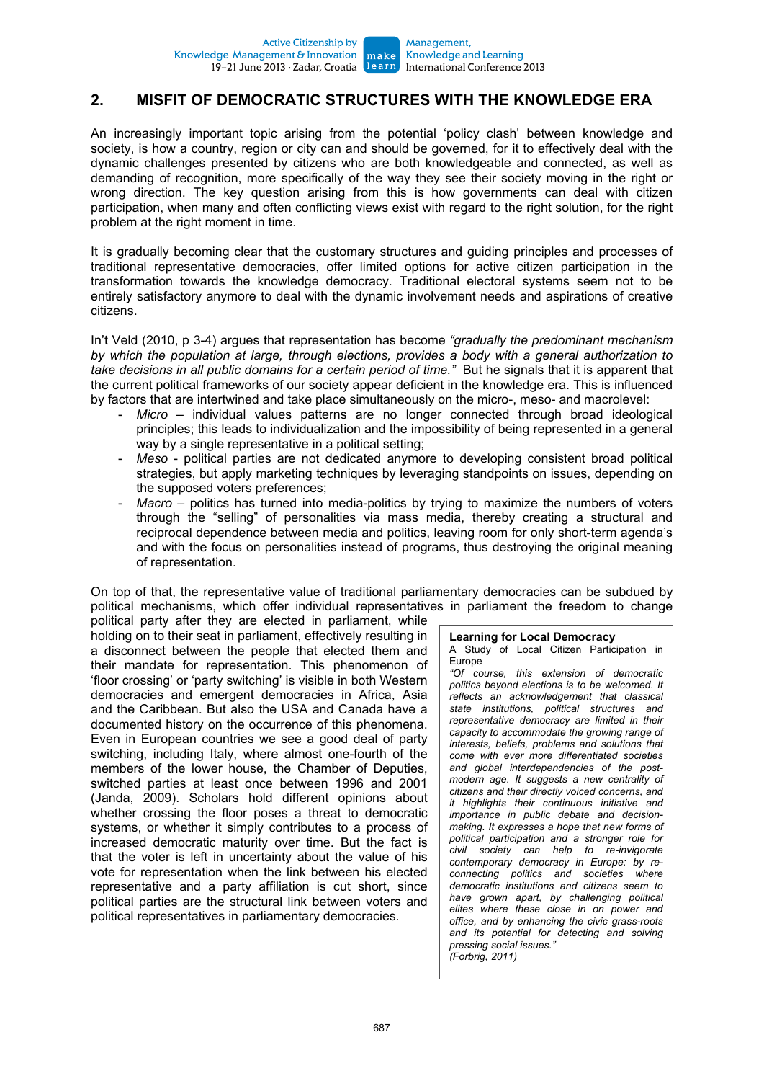## **2. MISFIT OF DEMOCRATIC STRUCTURES WITH THE KNOWLEDGE ERA**

An increasingly important topic arising from the potential 'policy clash' between knowledge and society, is how a country, region or city can and should be governed, for it to effectively deal with the dynamic challenges presented by citizens who are both knowledgeable and connected, as well as demanding of recognition, more specifically of the way they see their society moving in the right or wrong direction. The key question arising from this is how governments can deal with citizen participation, when many and often conflicting views exist with regard to the right solution, for the right problem at the right moment in time.

It is gradually becoming clear that the customary structures and guiding principles and processes of traditional representative democracies, offer limited options for active citizen participation in the transformation towards the knowledge democracy. Traditional electoral systems seem not to be entirely satisfactory anymore to deal with the dynamic involvement needs and aspirations of creative citizens.

In't Veld (2010, p 3-4) argues that representation has become *"gradually the predominant mechanism by which the population at large, through elections, provides a body with a general authorization to take decisions in all public domains for a certain period of time."* But he signals that it is apparent that the current political frameworks of our society appear deficient in the knowledge era. This is influenced by factors that are intertwined and take place simultaneously on the micro-, meso- and macrolevel:

- Micro individual values patterns are no longer connected through broad ideological principles; this leads to individualization and the impossibility of being represented in a general way by a single representative in a political setting;
- *Meso* political parties are not dedicated anymore to developing consistent broad political strategies, but apply marketing techniques by leveraging standpoints on issues, depending on the supposed voters preferences;
- Macro politics has turned into media-politics by trying to maximize the numbers of voters through the "selling" of personalities via mass media, thereby creating a structural and reciprocal dependence between media and politics, leaving room for only short-term agenda's and with the focus on personalities instead of programs, thus destroying the original meaning of representation.

On top of that, the representative value of traditional parliamentary democracies can be subdued by political mechanisms, which offer individual representatives in parliament the freedom to change

political party after they are elected in parliament, while holding on to their seat in parliament, effectively resulting in a disconnect between the people that elected them and their mandate for representation. This phenomenon of 'floor crossing' or 'party switching' is visible in both Western democracies and emergent democracies in Africa, Asia and the Caribbean. But also the USA and Canada have a documented history on the occurrence of this phenomena. Even in European countries we see a good deal of party switching, including Italy, where almost one-fourth of the members of the lower house, the Chamber of Deputies, switched parties at least once between 1996 and 2001 (Janda, 2009). Scholars hold different opinions about whether crossing the floor poses a threat to democratic systems, or whether it simply contributes to a process of increased democratic maturity over time. But the fact is that the voter is left in uncertainty about the value of his vote for representation when the link between his elected representative and a party affiliation is cut short, since political parties are the structural link between voters and political representatives in parliamentary democracies.

#### **Learning for Local Democracy**

A Study of Local Citizen Participation in Europe

*"Of course, this extension of democratic politics beyond elections is to be welcomed. It reflects an acknowledgement that classical state institutions, political structures and representative democracy are limited in their capacity to accommodate the growing range of interests, beliefs, problems and solutions that come with ever more differentiated societies and global interdependencies of the postmodern age. It suggests a new centrality of citizens and their directly voiced concerns, and it highlights their continuous initiative and importance in public debate and decisionmaking. It expresses a hope that new forms of political participation and a stronger role for civil society can help to re-invigorate contemporary democracy in Europe: by reconnecting politics and societies where democratic institutions and citizens seem to have grown apart, by challenging political elites where these close in on power and office, and by enhancing the civic grass-roots and its potential for detecting and solving pressing social issues." (Forbrig, 2011)*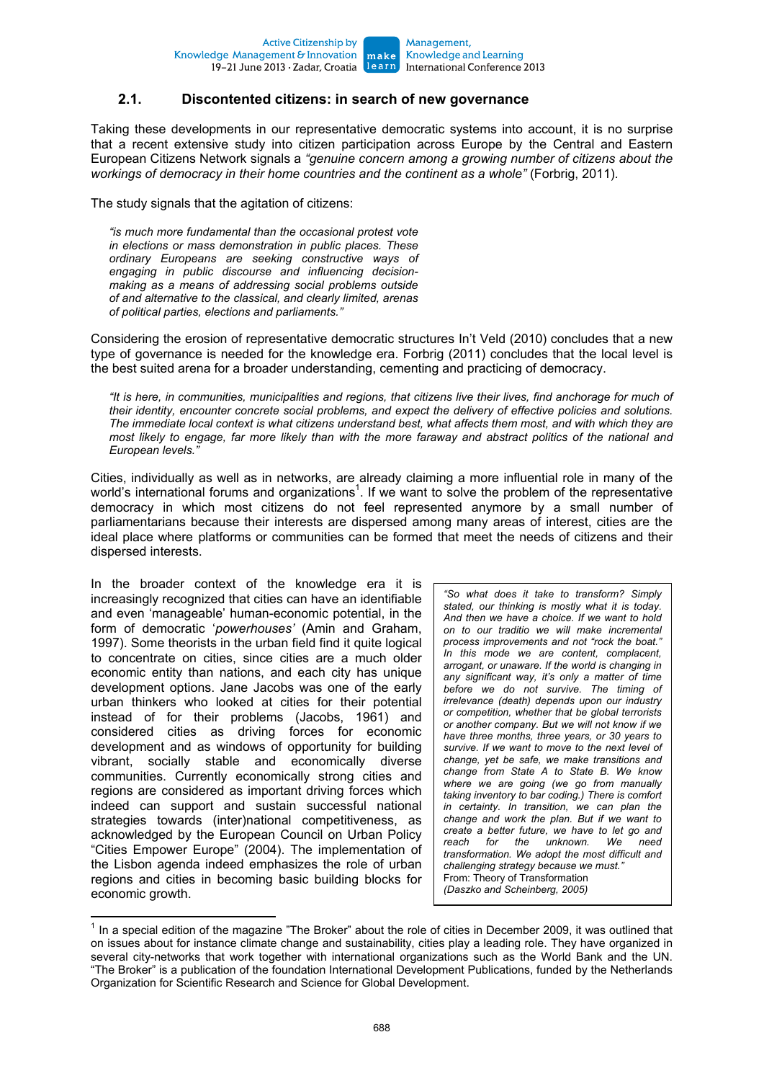#### Knowledge and Learning International Conference 2013

#### **2.1. Discontented citizens: in search of new governance**

Taking these developments in our representative democratic systems into account, it is no surprise that a recent extensive study into citizen participation across Europe by the Central and Eastern European Citizens Network signals a *"genuine concern among a growing number of citizens about the workings of democracy in their home countries and the continent as a whole"* (Forbrig, 2011)*.* 

The study signals that the agitation of citizens:

*"is much more fundamental than the occasional protest vote in elections or mass demonstration in public places. These ordinary Europeans are seeking constructive ways of engaging in public discourse and influencing decisionmaking as a means of addressing social problems outside of and alternative to the classical, and clearly limited, arenas of political parties, elections and parliaments."* 

Considering the erosion of representative democratic structures In't Veld (2010) concludes that a new type of governance is needed for the knowledge era. Forbrig (2011) concludes that the local level is the best suited arena for a broader understanding, cementing and practicing of democracy.

*"It is here, in communities, municipalities and regions, that citizens live their lives, find anchorage for much of their identity, encounter concrete social problems, and expect the delivery of effective policies and solutions. The immediate local context is what citizens understand best, what affects them most, and with which they are most likely to engage, far more likely than with the more faraway and abstract politics of the national and European levels."* 

Cities, individually as well as in networks, are already claiming a more influential role in many of the world's international forums and organizations<sup>1</sup>. If we want to solve the problem of the representative democracy in which most citizens do not feel represented anymore by a small number of parliamentarians because their interests are dispersed among many areas of interest, cities are the ideal place where platforms or communities can be formed that meet the needs of citizens and their dispersed interests.

In the broader context of the knowledge era it is increasingly recognized that cities can have an identifiable and even 'manageable' human-economic potential, in the form of democratic '*powerhouses'* (Amin and Graham, 1997). Some theorists in the urban field find it quite logical to concentrate on cities, since cities are a much older economic entity than nations, and each city has unique development options. Jane Jacobs was one of the early urban thinkers who looked at cities for their potential instead of for their problems (Jacobs, 1961) and considered cities as driving forces for economic development and as windows of opportunity for building vibrant, socially stable and economically diverse communities. Currently economically strong cities and regions are considered as important driving forces which indeed can support and sustain successful national strategies towards (inter)national competitiveness, as acknowledged by the European Council on Urban Policy "Cities Empower Europe" (2004). The implementation of the Lisbon agenda indeed emphasizes the role of urban regions and cities in becoming basic building blocks for economic growth.

*"So what does it take to transform? Simply stated, our thinking is mostly what it is today. And then we have a choice. If we want to hold on to our traditio we will make incremental process improvements and not "rock the boat." In this mode we are content, complacent, arrogant, or unaware. If the world is changing in any significant way, it's only a matter of time before we do not survive. The timing of irrelevance (death) depends upon our industry or competition, whether that be global terrorists or another company. But we will not know if we have three months, three years, or 30 years to survive. If we want to move to the next level of change, yet be safe, we make transitions and change from State A to State B. We know where we are going (we go from manually taking inventory to bar coding.) There is comfort in certainty. In transition, we can plan the change and work the plan. But if we want to create a better future, we have to let go and reach for the unknown. We need transformation. We adopt the most difficult and challenging strategy because we must."*  From: Theory of Transformation *(Daszko and Scheinberg, 2005)* 

<sup>————————————————————&</sup>lt;br><sup>1</sup> In a special edition of the magazine "The Broker" about the role of cities in December 2009, it was outlined that on issues about for instance climate change and sustainability, cities play a leading role. They have organized in several city-networks that work together with international organizations such as the World Bank and the UN. "The Broker" is a publication of the foundation International Development Publications, funded by the Netherlands Organization for Scientific Research and Science for Global Development.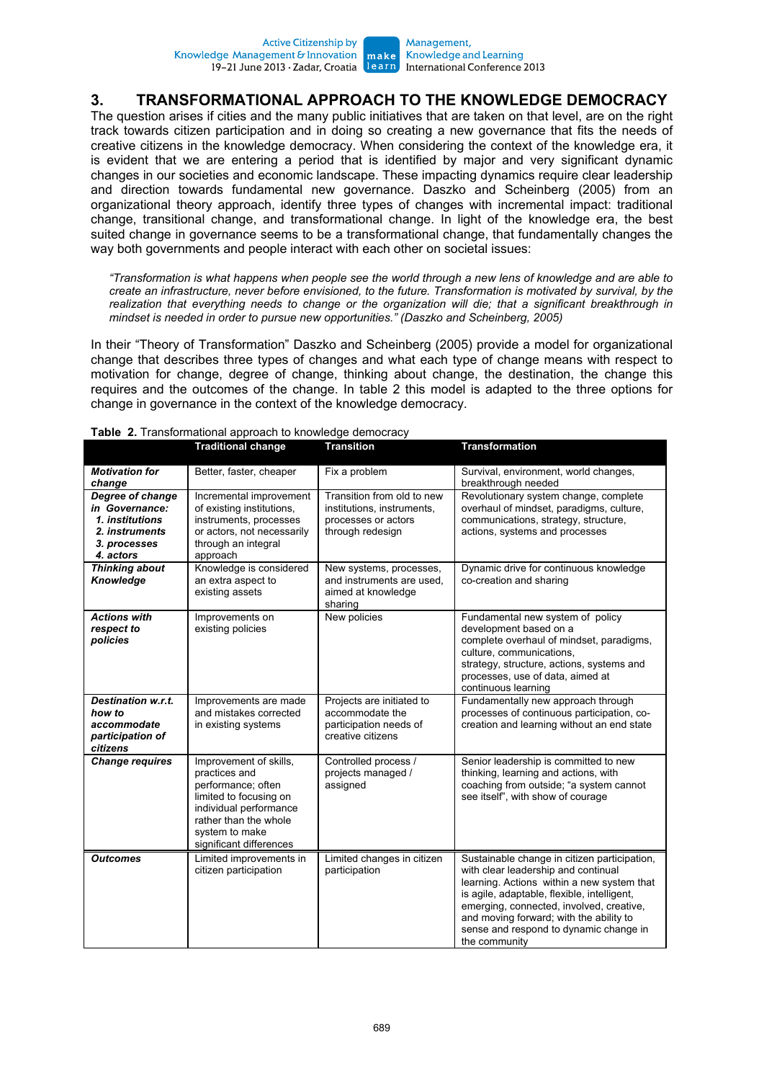### **3. TRANSFORMATIONAL APPROACH TO THE KNOWLEDGE DEMOCRACY**

The question arises if cities and the many public initiatives that are taken on that level, are on the right track towards citizen participation and in doing so creating a new governance that fits the needs of creative citizens in the knowledge democracy. When considering the context of the knowledge era, it is evident that we are entering a period that is identified by major and very significant dynamic changes in our societies and economic landscape. These impacting dynamics require clear leadership and direction towards fundamental new governance. Daszko and Scheinberg (2005) from an organizational theory approach, identify three types of changes with incremental impact: traditional change, transitional change, and transformational change. In light of the knowledge era, the best suited change in governance seems to be a transformational change, that fundamentally changes the way both governments and people interact with each other on societal issues:

*"Transformation is what happens when people see the world through a new lens of knowledge and are able to create an infrastructure, never before envisioned, to the future. Transformation is motivated by survival, by the realization that everything needs to change or the organization will die; that a significant breakthrough in mindset is needed in order to pursue new opportunities." (Daszko and Scheinberg, 2005)* 

In their "Theory of Transformation" Daszko and Scheinberg (2005) provide a model for organizational change that describes three types of changes and what each type of change means with respect to motivation for change, degree of change, thinking about change, the destination, the change this requires and the outcomes of the change. In table 2 this model is adapted to the three options for change in governance in the context of the knowledge democracy.

|                                                                                                      | <b>Traditional change</b>                                                                                                                                                               | <b>Transition</b>                                                                                   | <b>Transformation</b>                                                                                                                                                                                                                                                                                                              |
|------------------------------------------------------------------------------------------------------|-----------------------------------------------------------------------------------------------------------------------------------------------------------------------------------------|-----------------------------------------------------------------------------------------------------|------------------------------------------------------------------------------------------------------------------------------------------------------------------------------------------------------------------------------------------------------------------------------------------------------------------------------------|
| <b>Motivation for</b><br>change                                                                      | Better, faster, cheaper                                                                                                                                                                 | Fix a problem                                                                                       | Survival, environment, world changes,<br>breakthrough needed                                                                                                                                                                                                                                                                       |
| Degree of change<br>in Governance:<br>1. institutions<br>2. instruments<br>3. processes<br>4. actors | Incremental improvement<br>of existing institutions,<br>instruments, processes<br>or actors, not necessarily<br>through an integral<br>approach                                         | Transition from old to new<br>institutions, instruments,<br>processes or actors<br>through redesign | Revolutionary system change, complete<br>overhaul of mindset, paradigms, culture,<br>communications, strategy, structure,<br>actions, systems and processes                                                                                                                                                                        |
| <b>Thinking about</b><br>Knowledge                                                                   | Knowledge is considered<br>an extra aspect to<br>existing assets                                                                                                                        | New systems, processes,<br>and instruments are used.<br>aimed at knowledge<br>sharing               | Dynamic drive for continuous knowledge<br>co-creation and sharing                                                                                                                                                                                                                                                                  |
| <b>Actions with</b><br>respect to<br>policies                                                        | Improvements on<br>existing policies                                                                                                                                                    | New policies                                                                                        | Fundamental new system of policy<br>development based on a<br>complete overhaul of mindset, paradigms,<br>culture, communications,<br>strategy, structure, actions, systems and<br>processes, use of data, aimed at<br>continuous learning                                                                                         |
| <b>Destination w.r.t.</b><br>how to<br>accommodate<br>participation of<br>citizens                   | Improvements are made<br>and mistakes corrected<br>in existing systems                                                                                                                  | Projects are initiated to<br>accommodate the<br>participation needs of<br>creative citizens         | Fundamentally new approach through<br>processes of continuous participation, co-<br>creation and learning without an end state                                                                                                                                                                                                     |
| <b>Change requires</b>                                                                               | Improvement of skills,<br>practices and<br>performance; often<br>limited to focusing on<br>individual performance<br>rather than the whole<br>system to make<br>significant differences | Controlled process /<br>projects managed /<br>assigned                                              | Senior leadership is committed to new<br>thinking, learning and actions, with<br>coaching from outside; "a system cannot<br>see itself", with show of courage                                                                                                                                                                      |
| <b>Outcomes</b>                                                                                      | Limited improvements in<br>citizen participation                                                                                                                                        | Limited changes in citizen<br>participation                                                         | Sustainable change in citizen participation,<br>with clear leadership and continual<br>learning. Actions within a new system that<br>is agile, adaptable, flexible, intelligent,<br>emerging, connected, involved, creative,<br>and moving forward; with the ability to<br>sense and respond to dynamic change in<br>the community |

#### **Table 2.** Transformational approach to knowledge democracy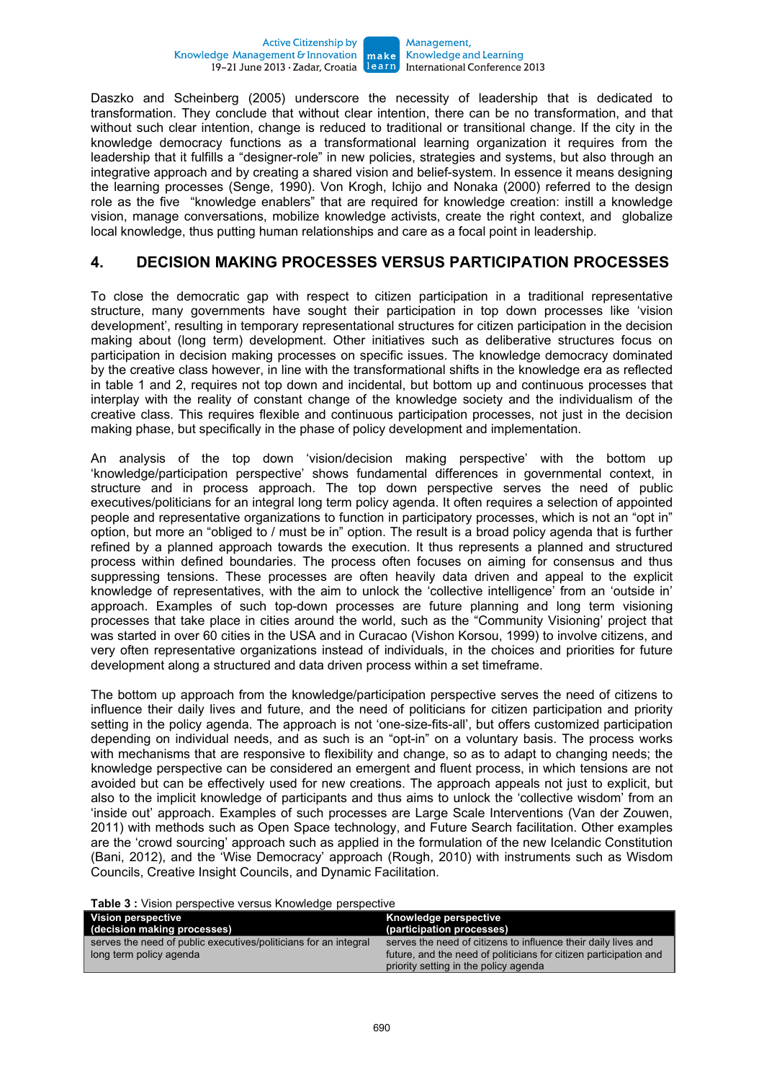Daszko and Scheinberg (2005) underscore the necessity of leadership that is dedicated to transformation. They conclude that without clear intention, there can be no transformation, and that without such clear intention, change is reduced to traditional or transitional change. If the city in the knowledge democracy functions as a transformational learning organization it requires from the leadership that it fulfills a "designer-role" in new policies, strategies and systems, but also through an integrative approach and by creating a shared vision and belief-system. In essence it means designing the learning processes (Senge, 1990). Von Krogh, Ichijo and Nonaka (2000) referred to the design role as the five "knowledge enablers" that are required for knowledge creation: instill a knowledge vision, manage conversations, mobilize knowledge activists, create the right context, and globalize local knowledge, thus putting human relationships and care as a focal point in leadership.

### **4. DECISION MAKING PROCESSES VERSUS PARTICIPATION PROCESSES**

To close the democratic gap with respect to citizen participation in a traditional representative structure, many governments have sought their participation in top down processes like 'vision development', resulting in temporary representational structures for citizen participation in the decision making about (long term) development. Other initiatives such as deliberative structures focus on participation in decision making processes on specific issues. The knowledge democracy dominated by the creative class however, in line with the transformational shifts in the knowledge era as reflected in table 1 and 2, requires not top down and incidental, but bottom up and continuous processes that interplay with the reality of constant change of the knowledge society and the individualism of the creative class. This requires flexible and continuous participation processes, not just in the decision making phase, but specifically in the phase of policy development and implementation.

An analysis of the top down 'vision/decision making perspective' with the bottom up 'knowledge/participation perspective' shows fundamental differences in governmental context, in structure and in process approach. The top down perspective serves the need of public executives/politicians for an integral long term policy agenda. It often requires a selection of appointed people and representative organizations to function in participatory processes, which is not an "opt in" option, but more an "obliged to / must be in" option. The result is a broad policy agenda that is further refined by a planned approach towards the execution. It thus represents a planned and structured process within defined boundaries. The process often focuses on aiming for consensus and thus suppressing tensions. These processes are often heavily data driven and appeal to the explicit knowledge of representatives, with the aim to unlock the 'collective intelligence' from an 'outside in' approach. Examples of such top-down processes are future planning and long term visioning processes that take place in cities around the world, such as the "Community Visioning' project that was started in over 60 cities in the USA and in Curacao (Vishon Korsou, 1999) to involve citizens, and very often representative organizations instead of individuals, in the choices and priorities for future development along a structured and data driven process within a set timeframe.

The bottom up approach from the knowledge/participation perspective serves the need of citizens to influence their daily lives and future, and the need of politicians for citizen participation and priority setting in the policy agenda. The approach is not 'one-size-fits-all', but offers customized participation depending on individual needs, and as such is an "opt-in" on a voluntary basis. The process works with mechanisms that are responsive to flexibility and change, so as to adapt to changing needs; the knowledge perspective can be considered an emergent and fluent process, in which tensions are not avoided but can be effectively used for new creations. The approach appeals not just to explicit, but also to the implicit knowledge of participants and thus aims to unlock the 'collective wisdom' from an 'inside out' approach. Examples of such processes are Large Scale Interventions (Van der Zouwen, 2011) with methods such as Open Space technology, and Future Search facilitation. Other examples are the 'crowd sourcing' approach such as applied in the formulation of the new Icelandic Constitution (Bani, 2012), and the 'Wise Democracy' approach (Rough, 2010) with instruments such as Wisdom Councils, Creative Insight Councils, and Dynamic Facilitation.

**Table 3 :** Vision perspective versus Knowledge perspective

| <b>Vision perspective</b><br>(decision making processes)         | Knowledge perspective<br>(participation processes)                |
|------------------------------------------------------------------|-------------------------------------------------------------------|
| serves the need of public executives/politicians for an integral | serves the need of citizens to influence their daily lives and    |
| long term policy agenda                                          | future, and the need of politicians for citizen participation and |
|                                                                  | priority setting in the policy agenda                             |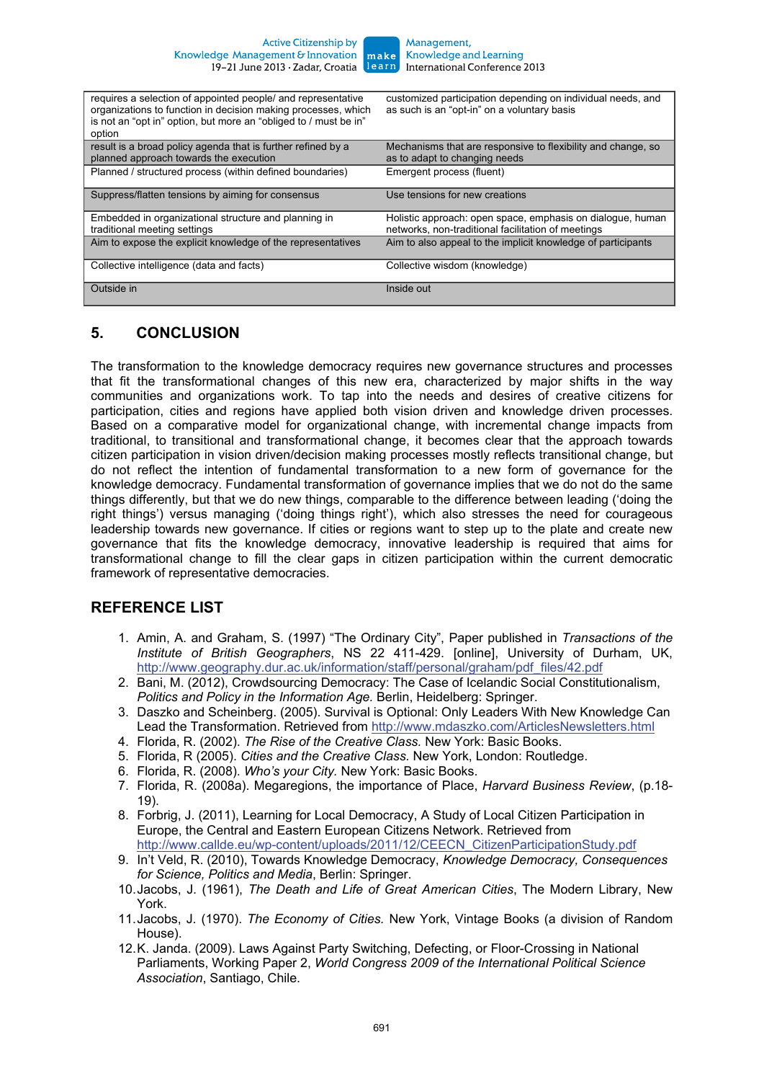| requires a selection of appointed people/ and representative<br>organizations to function in decision making processes, which<br>is not an "opt in" option, but more an "obliged to / must be in"<br>option | customized participation depending on individual needs, and<br>as such is an "opt-in" on a voluntary basis       |
|-------------------------------------------------------------------------------------------------------------------------------------------------------------------------------------------------------------|------------------------------------------------------------------------------------------------------------------|
| result is a broad policy agenda that is further refined by a<br>planned approach towards the execution                                                                                                      | Mechanisms that are responsive to flexibility and change, so<br>as to adapt to changing needs                    |
| Planned / structured process (within defined boundaries)                                                                                                                                                    | Emergent process (fluent)                                                                                        |
| Suppress/flatten tensions by aiming for consensus                                                                                                                                                           | Use tensions for new creations                                                                                   |
| Embedded in organizational structure and planning in<br>traditional meeting settings                                                                                                                        | Holistic approach: open space, emphasis on dialogue, human<br>networks, non-traditional facilitation of meetings |
| Aim to expose the explicit knowledge of the representatives                                                                                                                                                 | Aim to also appeal to the implicit knowledge of participants                                                     |
| Collective intelligence (data and facts)                                                                                                                                                                    | Collective wisdom (knowledge)                                                                                    |
| Outside in                                                                                                                                                                                                  | Inside out                                                                                                       |

## **5. CONCLUSION**

The transformation to the knowledge democracy requires new governance structures and processes that fit the transformational changes of this new era, characterized by major shifts in the way communities and organizations work. To tap into the needs and desires of creative citizens for participation, cities and regions have applied both vision driven and knowledge driven processes. Based on a comparative model for organizational change, with incremental change impacts from traditional, to transitional and transformational change, it becomes clear that the approach towards citizen participation in vision driven/decision making processes mostly reflects transitional change, but do not reflect the intention of fundamental transformation to a new form of governance for the knowledge democracy. Fundamental transformation of governance implies that we do not do the same things differently, but that we do new things, comparable to the difference between leading ('doing the right things') versus managing ('doing things right'), which also stresses the need for courageous leadership towards new governance. If cities or regions want to step up to the plate and create new governance that fits the knowledge democracy, innovative leadership is required that aims for transformational change to fill the clear gaps in citizen participation within the current democratic framework of representative democracies.

### **REFERENCE LIST**

- 1. Amin, A. and Graham, S. (1997) "The Ordinary City", Paper published in *Transactions of the Institute of British Geographers*, NS 22 411-429. [online], University of Durham, UK, http://www.geography.dur.ac.uk/information/staff/personal/graham/pdf\_files/42.pdf
- 2. Bani, M. (2012), Crowdsourcing Democracy: The Case of Icelandic Social Constitutionalism, *Politics and Policy in the Information Age.* Berlin, Heidelberg: Springer.
- 3. Daszko and Scheinberg. (2005). Survival is Optional: Only Leaders With New Knowledge Can Lead the Transformation. Retrieved from http://www.mdaszko.com/ArticlesNewsletters.html
- 4. Florida, R. (2002). *The Rise of the Creative Class.* New York: Basic Books.
- 5. Florida, R (2005). *Cities and the Creative Class.* New York, London: Routledge.
- 6. Florida, R. (2008). *Who's your City.* New York: Basic Books.
- 7. Florida, R. (2008a). Megaregions, the importance of Place, *Harvard Business Review*, (p.18- 19).
- 8. Forbrig, J. (2011), Learning for Local Democracy, A Study of Local Citizen Participation in Europe, the Central and Eastern European Citizens Network. Retrieved from http://www.callde.eu/wp-content/uploads/2011/12/CEECN\_CitizenParticipationStudy.pdf
- 9. In't Veld, R. (2010), Towards Knowledge Democracy, *Knowledge Democracy, Consequences for Science, Politics and Media*, Berlin: Springer.
- 10. Jacobs, J. (1961), *The Death and Life of Great American Cities*, The Modern Library, New York.
- 11. Jacobs, J. (1970). *The Economy of Cities.* New York, Vintage Books (a division of Random House).
- 12. K. Janda. (2009). Laws Against Party Switching, Defecting, or Floor-Crossing in National Parliaments, Working Paper 2, *World Congress 2009 of the International Political Science Association*, Santiago, Chile.